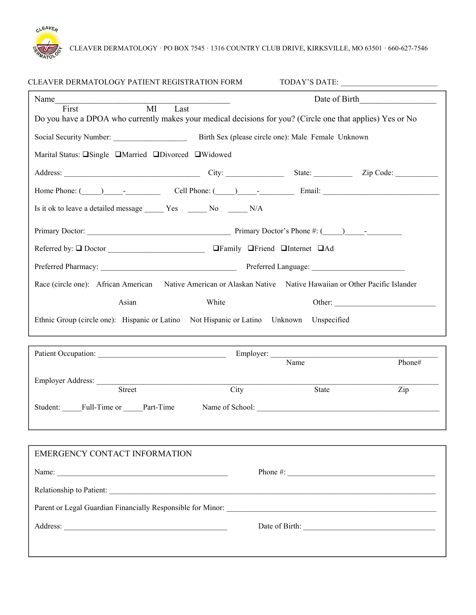

CLEAVER DERMATOLOGY · PO BOX 7545 ·1316 COUNTRY CLUB DRIVE, KIRKSVILLE, MO 63501 · 660-627-7546

| CLEAVER DERMATOLOGY PATIENT REGISTRATION FORM                                                                       |                                              |       |                 |
|---------------------------------------------------------------------------------------------------------------------|----------------------------------------------|-------|-----------------|
| Name<br>$\overline{M}$                                                                                              | the control of the control of the control of |       |                 |
| First<br>Do you have a DPOA who currently makes your medical decisions for you? (Circle one that applies) Yes or No | Last                                         |       |                 |
| Social Security Number: Birth Sex (please circle one): Male Female Unknown                                          |                                              |       |                 |
| Marital Status: <u>USingle</u> UMarried UDivorced UWidowed                                                          |                                              |       |                 |
|                                                                                                                     |                                              |       |                 |
| Home Phone: $\qquad \qquad$ $\qquad \qquad$ Cell Phone: $\qquad \qquad$ $\qquad$ Email: $\qquad \qquad$ Email:      |                                              |       |                 |
| Is it ok to leave a detailed message _______ Yes ________ No ________ N/A                                           |                                              |       |                 |
|                                                                                                                     |                                              |       |                 |
|                                                                                                                     |                                              |       |                 |
|                                                                                                                     |                                              |       |                 |
| Race (circle one): African American Native American or Alaskan Native Native Hawaiian or Other Pacific Islander     |                                              |       |                 |
| Asian                                                                                                               | White                                        |       | Other:          |
| Ethnic Group (circle one): Hispanic or Latino Not Hispanic or Latino Unknown Unspecified                            |                                              |       |                 |
|                                                                                                                     |                                              |       |                 |
| Patient Occupation: Employer: Name                                                                                  |                                              |       |                 |
|                                                                                                                     |                                              |       | Phone#          |
| Street                                                                                                              | City                                         | State | Zip             |
| Student: Full-Time or Part-Time                                                                                     |                                              |       | Name of School: |
|                                                                                                                     |                                              |       |                 |
|                                                                                                                     |                                              |       |                 |
| <b>EMERGENCY CONTACT INFORMATION</b>                                                                                |                                              |       |                 |
|                                                                                                                     |                                              |       |                 |
|                                                                                                                     |                                              |       |                 |
|                                                                                                                     |                                              |       |                 |
|                                                                                                                     |                                              |       |                 |
|                                                                                                                     |                                              |       |                 |
|                                                                                                                     |                                              |       |                 |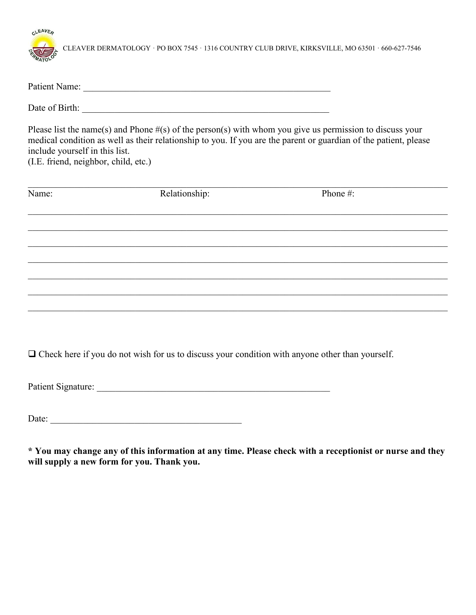CLEAVER

CLEAVER DERMATOLOGY · PO BOX 7545 · 1316 COUNTRY CLUB DRIVE, KIRKSVILLE, MO 63501 · 660-627-7546

| Patient Name: |  |
|---------------|--|
|               |  |

Date of Birth: \_\_\_\_\_\_\_\_\_\_\_\_\_\_\_\_\_\_\_\_\_\_\_\_\_\_\_\_\_\_\_\_\_\_\_\_\_\_\_\_\_\_\_\_\_\_\_\_\_\_\_\_\_

Please list the name(s) and Phone #(s) of the person(s) with whom you give us permission to discuss your medical condition as well as their relationship to you. If you are the parent or guardian of the patient, please include yourself in this list.

(I.E. friend, neighbor, child, etc.)

| Name: | Relationship: | Phone #: |  |
|-------|---------------|----------|--|
|       |               |          |  |
|       |               |          |  |
|       |               |          |  |
|       |               |          |  |
|       |               |          |  |
|       |               |          |  |
|       |               |          |  |
|       |               |          |  |

 $\Box$  Check here if you do not wish for us to discuss your condition with anyone other than yourself.

Patient Signature: \_\_\_\_\_\_\_\_\_\_\_\_\_\_\_\_\_\_\_\_\_\_\_\_\_\_\_\_\_\_\_\_\_\_\_\_\_\_\_\_\_\_\_\_\_\_\_\_\_\_

Date: \_\_\_\_\_\_\_\_\_\_\_\_\_\_\_\_\_\_\_\_\_\_\_\_\_\_\_\_\_\_\_\_\_\_\_\_\_\_\_\_\_

\* You may change any of this information at any time. Please check with a receptionist or nurse and they **will supply a new form for you. Thank you.**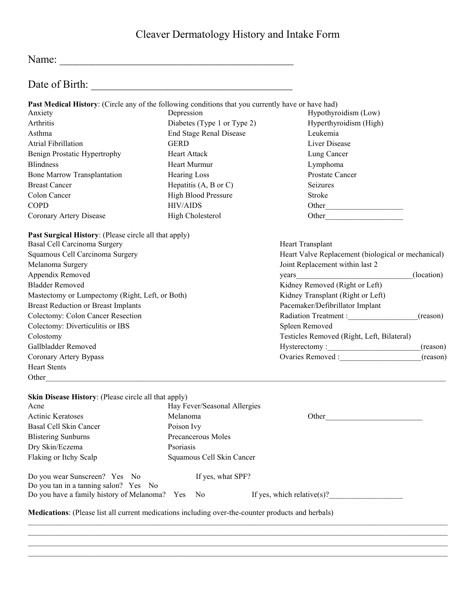# Cleaver Dermatology History and Intake Form

Name: \_\_\_\_\_\_\_\_\_\_\_\_\_\_\_\_\_\_\_\_\_\_\_\_\_\_\_\_\_\_\_\_\_\_\_\_\_\_\_\_\_\_\_

| Name: |
|-------|
|       |

# Date of Birth: \_\_\_\_\_\_\_\_\_\_\_\_\_\_\_\_\_\_\_\_\_\_\_\_\_\_\_\_\_\_\_\_\_\_\_\_\_

| Past Medical History: (Circle any of the following conditions that you currently have or have had) |                                  |                                                                                                        |                      |  |
|----------------------------------------------------------------------------------------------------|----------------------------------|--------------------------------------------------------------------------------------------------------|----------------------|--|
| Anxiety                                                                                            | Depression                       | Hypothyroidism (Low)                                                                                   |                      |  |
| Arthritis                                                                                          | Diabetes (Type 1 or Type 2)      | Hyperthyroidism (High)<br>Leukemia                                                                     |                      |  |
| Asthma                                                                                             | End Stage Renal Disease          |                                                                                                        |                      |  |
| <b>Atrial Fibrillation</b>                                                                         | <b>GERD</b>                      | Liver Disease                                                                                          |                      |  |
| Benign Prostatic Hypertrophy                                                                       | Heart Attack                     | Lung Cancer                                                                                            |                      |  |
| <b>Blindness</b>                                                                                   | Heart Murmur                     | Lymphoma                                                                                               |                      |  |
| <b>Bone Marrow Transplantation</b>                                                                 | Hearing Loss                     | Prostate Cancer                                                                                        |                      |  |
| <b>Breast Cancer</b>                                                                               | Hepatitis $(A, B \text{ or } C)$ | Seizures                                                                                               |                      |  |
| Colon Cancer                                                                                       | High Blood Pressure              | Stroke                                                                                                 |                      |  |
| <b>COPD</b>                                                                                        | <b>HIV/AIDS</b>                  | Other                                                                                                  |                      |  |
| Coronary Artery Disease                                                                            | High Cholesterol                 | Other                                                                                                  |                      |  |
| Past Surgical History: (Please circle all that apply)<br>Basal Cell Carcinoma Surgery              |                                  | Heart Transplant                                                                                       |                      |  |
| Squamous Cell Carcinoma Surgery                                                                    |                                  | Heart Valve Replacement (biological or mechanical)                                                     |                      |  |
| Melanoma Surgery                                                                                   |                                  |                                                                                                        |                      |  |
|                                                                                                    |                                  | Joint Replacement within last 2                                                                        |                      |  |
| Appendix Removed<br><b>Bladder Removed</b>                                                         |                                  | (location)<br>years                                                                                    |                      |  |
| Mastectomy or Lumpectomy (Right, Left, or Both)                                                    |                                  | Kidney Removed (Right or Left)<br>Kidney Transplant (Right or Left)<br>Pacemaker/Defibrillator Implant |                      |  |
| <b>Breast Reduction or Breast Implants</b>                                                         |                                  |                                                                                                        |                      |  |
| <b>Colectomy: Colon Cancer Resection</b>                                                           |                                  | Radiation Treatment :                                                                                  |                      |  |
| Colectomy: Diverticulitis or IBS                                                                   |                                  |                                                                                                        | (reason)             |  |
| Colostomy                                                                                          |                                  | Spleen Removed                                                                                         |                      |  |
|                                                                                                    |                                  | Testicles Removed (Right, Left, Bilateral)                                                             |                      |  |
| Gallbladder Removed                                                                                |                                  |                                                                                                        | (reason)<br>(reason) |  |
| Coronary Artery Bypass                                                                             |                                  | Ovaries Removed :                                                                                      |                      |  |
| <b>Heart Stents</b><br>Other                                                                       |                                  |                                                                                                        |                      |  |
|                                                                                                    |                                  |                                                                                                        |                      |  |
| Skin Disease History: (Please circle all that apply)<br>Acne                                       | Hay Fever/Seasonal Allergies     |                                                                                                        |                      |  |
| <b>Actinic Keratoses</b>                                                                           | Melanoma                         | Other                                                                                                  |                      |  |
| Basal Cell Skin Cancer                                                                             | Poison Ivy                       |                                                                                                        |                      |  |
| <b>Blistering Sunburns</b>                                                                         | Precancerous Moles               |                                                                                                        |                      |  |
| Dry Skin/Eczema                                                                                    | Psoriasis                        |                                                                                                        |                      |  |
| Flaking or Itchy Scalp                                                                             | Squamous Cell Skin Cancer        |                                                                                                        |                      |  |
| Do you wear Sunscreen? Yes No                                                                      | If yes, what SPF?                |                                                                                                        |                      |  |
| Do you tan in a tanning salon? Yes No                                                              |                                  |                                                                                                        |                      |  |
| Do you have a family history of Melanoma? Yes                                                      | No                               | If yes, which relative $(s)$ ?                                                                         |                      |  |
| Medications: (Please list all current medications including over-the-counter products and herbals) |                                  |                                                                                                        |                      |  |

 $\mathcal{L}_\mathcal{L} = \mathcal{L}_\mathcal{L} = \mathcal{L}_\mathcal{L} = \mathcal{L}_\mathcal{L} = \mathcal{L}_\mathcal{L} = \mathcal{L}_\mathcal{L} = \mathcal{L}_\mathcal{L} = \mathcal{L}_\mathcal{L} = \mathcal{L}_\mathcal{L} = \mathcal{L}_\mathcal{L} = \mathcal{L}_\mathcal{L} = \mathcal{L}_\mathcal{L} = \mathcal{L}_\mathcal{L} = \mathcal{L}_\mathcal{L} = \mathcal{L}_\mathcal{L} = \mathcal{L}_\mathcal{L} = \mathcal{L}_\mathcal{L}$ 

\_\_\_\_\_\_\_\_\_\_\_\_\_\_\_\_\_\_\_\_\_\_\_\_\_\_\_\_\_\_\_\_\_\_\_\_\_\_\_\_\_\_\_\_\_\_\_\_\_\_\_\_\_\_\_\_\_\_\_\_\_\_\_\_\_\_\_\_\_\_\_\_\_\_\_\_\_\_\_\_\_\_\_\_\_\_\_\_\_\_\_\_\_\_\_\_\_\_\_\_\_\_\_\_\_\_\_\_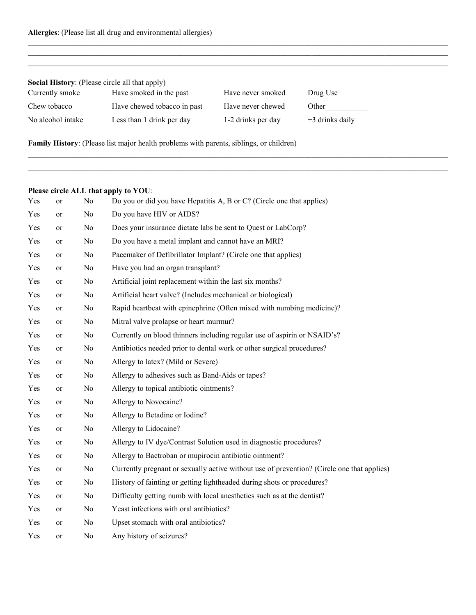| <b>Social History:</b> (Please circle all that apply) |                             |                    |                   |  |
|-------------------------------------------------------|-----------------------------|--------------------|-------------------|--|
| Currently smoke                                       | Have smoked in the past     | Have never smoked  | Drug Use          |  |
| Chew tobacco                                          | Have chewed tobacco in past | Have never chewed  | Other             |  |
| No alcohol intake                                     | Less than 1 drink per day   | 1-2 drinks per day | $+3$ drinks daily |  |

\_\_\_\_\_\_\_\_\_\_\_\_\_\_\_\_\_\_\_\_\_\_\_\_\_\_\_\_\_\_\_\_\_\_\_\_\_\_\_\_\_\_\_\_\_\_\_\_\_\_\_\_\_\_\_\_\_\_\_\_\_\_\_\_\_\_\_\_\_\_\_\_\_\_\_\_\_\_\_\_\_\_\_\_\_\_\_\_\_\_\_\_\_\_\_\_\_\_\_\_\_\_\_\_\_\_\_\_

 $\mathcal{L}_\mathcal{L} = \mathcal{L}_\mathcal{L} = \mathcal{L}_\mathcal{L} = \mathcal{L}_\mathcal{L} = \mathcal{L}_\mathcal{L} = \mathcal{L}_\mathcal{L} = \mathcal{L}_\mathcal{L} = \mathcal{L}_\mathcal{L} = \mathcal{L}_\mathcal{L} = \mathcal{L}_\mathcal{L} = \mathcal{L}_\mathcal{L} = \mathcal{L}_\mathcal{L} = \mathcal{L}_\mathcal{L} = \mathcal{L}_\mathcal{L} = \mathcal{L}_\mathcal{L} = \mathcal{L}_\mathcal{L} = \mathcal{L}_\mathcal{L}$ 

 $\mathcal{L}_\mathcal{L} = \mathcal{L}_\mathcal{L} = \mathcal{L}_\mathcal{L} = \mathcal{L}_\mathcal{L} = \mathcal{L}_\mathcal{L} = \mathcal{L}_\mathcal{L} = \mathcal{L}_\mathcal{L} = \mathcal{L}_\mathcal{L} = \mathcal{L}_\mathcal{L} = \mathcal{L}_\mathcal{L} = \mathcal{L}_\mathcal{L} = \mathcal{L}_\mathcal{L} = \mathcal{L}_\mathcal{L} = \mathcal{L}_\mathcal{L} = \mathcal{L}_\mathcal{L} = \mathcal{L}_\mathcal{L} = \mathcal{L}_\mathcal{L}$ 

\_\_\_\_\_\_\_\_\_\_\_\_\_\_\_\_\_\_\_\_\_\_\_\_\_\_\_\_\_\_\_\_\_\_\_\_\_\_\_\_\_\_\_\_\_\_\_\_\_\_\_\_\_\_\_\_\_\_\_\_\_\_\_\_\_\_\_\_\_\_\_\_\_\_\_\_\_\_\_\_\_\_\_\_\_\_\_\_\_\_\_\_\_\_\_\_\_\_\_\_\_\_\_\_\_\_\_\_

**Family History**: (Please list major health problems with parents, siblings, or children)

### **Please circle ALL that apply to YOU**:

| Yes | or | No | Do you or did you have Hepatitis A, B or C? (Circle one that applies)                      |
|-----|----|----|--------------------------------------------------------------------------------------------|
| Yes | or | No | Do you have HIV or AIDS?                                                                   |
| Yes | or | No | Does your insurance dictate labs be sent to Quest or LabCorp?                              |
| Yes | or | No | Do you have a metal implant and cannot have an MRI?                                        |
| Yes | or | No | Pacemaker of Defibrillator Implant? (Circle one that applies)                              |
| Yes | or | No | Have you had an organ transplant?                                                          |
| Yes | or | No | Artificial joint replacement within the last six months?                                   |
| Yes | or | No | Artificial heart valve? (Includes mechanical or biological)                                |
| Yes | or | No | Rapid heartbeat with epinephrine (Often mixed with numbing medicine)?                      |
| Yes | or | No | Mitral valve prolapse or heart murmur?                                                     |
| Yes | or | No | Currently on blood thinners including regular use of aspirin or NSAID's?                   |
| Yes | or | No | Antibiotics needed prior to dental work or other surgical procedures?                      |
| Yes | or | No | Allergy to latex? (Mild or Severe)                                                         |
| Yes | or | No | Allergy to adhesives such as Band-Aids or tapes?                                           |
| Yes | or | No | Allergy to topical antibiotic ointments?                                                   |
| Yes | or | No | Allergy to Novocaine?                                                                      |
| Yes | or | No | Allergy to Betadine or Iodine?                                                             |
| Yes | or | No | Allergy to Lidocaine?                                                                      |
| Yes | or | No | Allergy to IV dye/Contrast Solution used in diagnostic procedures?                         |
| Yes | or | No | Allergy to Bactroban or mupirocin antibiotic ointment?                                     |
| Yes | or | No | Currently pregnant or sexually active without use of prevention? (Circle one that applies) |
| Yes | or | No | History of fainting or getting lightheaded during shots or procedures?                     |
| Yes | or | No | Difficulty getting numb with local anesthetics such as at the dentist?                     |
| Yes | or | No | Yeast infections with oral antibiotics?                                                    |
| Yes | or | No | Upset stomach with oral antibiotics?                                                       |
| Yes | or | No | Any history of seizures?                                                                   |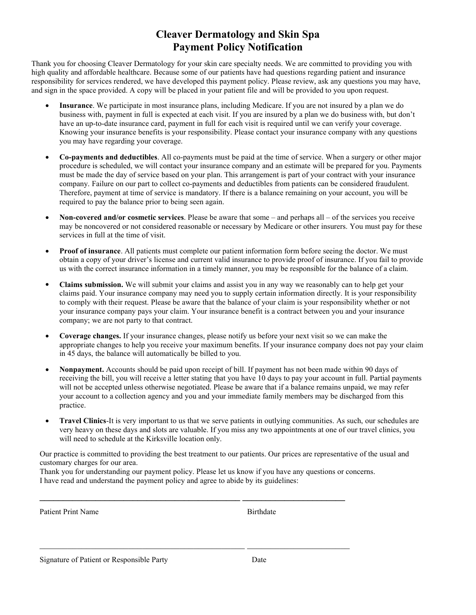## **Cleaver Dermatology and Skin Spa Payment Policy Notification**

Thank you for choosing Cleaver Dermatology for your skin care specialty needs. We are committed to providing you with high quality and affordable healthcare. Because some of our patients have had questions regarding patient and insurance responsibility for services rendered, we have developed this payment policy. Please review, ask any questions you may have, and sign in the space provided. A copy will be placed in your patient file and will be provided to you upon request.

- **Insurance**. We participate in mostinsurance plans, including Medicare. If you are not insured by a plan we do business with, payment in full is expected at each visit. If you are insured by a plan we do business with, but don't have an up-to-date insurance card, payment in full for each visit is required until we can verify your coverage. Knowing your insurance benefits is your responsibility. Please contactyour insurance company with any questions you may have regarding your coverage.
- **Co-payments and deductibles**. All co-payments must be paid at the time of service. When a surgery or other major procedure is scheduled, we will contact your insurance company and an estimate will be prepared for you. Payments must be made the day of service based on your plan. This arrangement is part of your contract with your insurance company. Failure on our part to collect co-payments and deductibles from patients can be considered fraudulent. Therefore, payment at time of service is mandatory. If there is a balance remaining on your account, you will be required to pay the balance prior to being seen again.
- **Non-covered and/or cosmetic services**. Please be aware that some and perhaps all of the services you receive may be noncovered or not considered reasonable or necessary by Medicare or other insurers. You must pay for these services in full at the time of visit.
- **Proof of insurance**. All patients must complete our patient information form before seeing the doctor. We must obtain a copy of yourdriver's license and current valid insurance to provide proof of insurance. If you fail to provide us with the correct insurance information in a timely manner, you may be responsible for the balance of a claim.
- **Claims submission.** We will submit your claims and assist you in any way we reasonably can to help get your claims paid. Your insurance company may need you to supply certain information directly. It is your responsibility to comply with their request. Please be aware that the balance of your claim is your responsibility whether or not your insurance company paysyour claim. Your insurance benefit is a contract between you and your insurance company; we are not party to that contract.
- **Coverage changes.** If your insurance changes, please notify us before your next visit so we can make the appropriate changes to help you receive your maximum benefits. If your insurance company does not pay your claim in 45 days, the balance will automatically be billed to you.
- **Nonpayment.** Accounts should be paid upon receipt of bill. If payment has not been made within 90 daysof receiving the bill, you will receive a letter stating that you have 10 daysto pay your account in full. Partial payments will not be accepted unless otherwise negotiated. Please be aware that if a balance remains unpaid, we may refer your account to a collection agency and you and your immediate family members may be discharged from this practice.
- **Travel Clinics**-It is very important to us that we serve patients in outlying communities. As such, our schedules are very heavy on these days and slots are valuable. If you miss any two appointments at one of our travel clinics, you will need to schedule at the Kirksville location only.

**\_\_\_\_\_\_\_\_\_\_\_\_\_\_\_\_\_\_\_\_\_\_\_\_\_\_\_\_\_\_\_\_\_\_\_\_\_\_\_\_\_\_\_ \_\_\_\_\_\_\_\_\_\_\_\_\_\_\_\_\_\_\_\_\_\_**

Our practice is committed to providing the best treatment to our patients. Our prices are representative of the usual and customary charges for our area.

Thank you for understanding our payment policy. Please let us know if you have any questions or concerns. I have read and understand the payment policy and agree to abide by its guidelines:

Patient Print Name Birthdate

Signature of Patient or Responsible Party Date